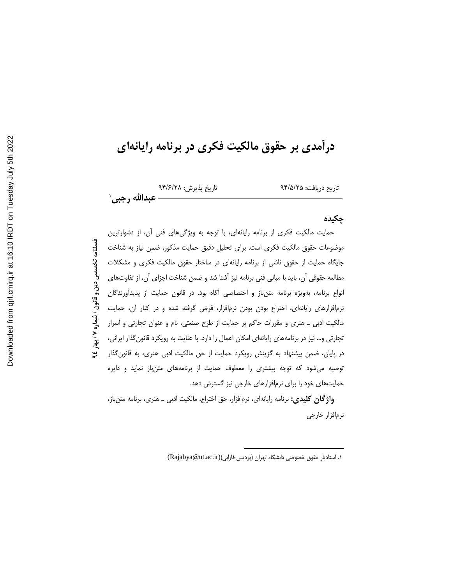# درآمدی بر حقوق مالکیت فکری در برنامه رایانهای

تاريخ پذيرش: ٩۴/۶/٢٨ عبدالله رجبي`

تاريخ دريافت: ٩۴/۵/٢۵

# چکیده

حمایت مالکیت فکری از برنامه رایانهای، با توجه به ویژگیهای فنی آن، از دشوارترین فصلنامه تخصصی دین و قانون / شماره ۷ / بهار ٤\$ موضوعات حقوق مالكيت فكرى است. براى تحليل دقيق حمايت مذكور، ضمن نياز به شناخت جایگاه حمایت از حقوق ناشی از برنامه رایانهای در ساختار حقوق مالکیت فکری و مشکلات مطالعه حقوقی آن، باید با مبانی فنی برنامه نیز آشنا شد و ضمن شناخت اجزای آن، از تفاوتهای انواع برنامه، بهویژه برنامه متن باز و اختصاصی آگاه بود. در قانون حمایت از پدیدآورندگان نرم|فزارهای رایانهای، اختراع بودن بودن نرم|فزار، فرض گرفته شده و در کنار آن، حمایت مالکیت ادبی ـ هنری و مقررات حاکم بر حمایت از طرح صنعتی، نام و عنوان تجارتی و اسرار تجارتی و… نیز در برنامههای رایانهای امکان اعمال را دارد. با عنایت به رویکرد قانون گذار ایرانی، در پایان، ضمن پیشنهاد به گزینش رویکرد حمایت از حق مالکیت ادبی هنری، به قانون گذار توصیه میشود که توجه بیشتری را معطوف حمایت از برنامههای متنباز نماید و دایره حمایتهای خود را برای نرمافزارهای خارجی نیز گسترش دهد.

**واژگان کلیدی:** برنامه رایانهای، نرمافزار، حق اختراع، مالکیت ادبی ــ هنری، برنامه متن باز، نرمافزار خارجى

١. استاديار حقوق خصوصى دانشكاه تهران (پرديس فارابى)(Rajabya@ut.ac.ir)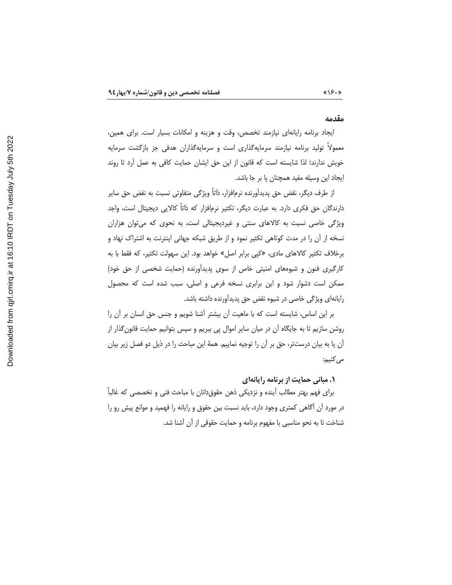#### مقدمه

 $\langle \langle \rangle \rangle \cdot \rangle$ 

ایجاد برنامه رایانهای نیازمند تخصص، وقت و هزینه و امکانات بسیار است. برای همین، معمولا تولید برنامه نیازمند سرمایهگذاری است و سرمایهگذاران هدفی جز بازگشت سرمایه خویش ندارند؛ لذا شایسته است که قانون از این حق ایشان حمایت کافی به عمل آرد تا روند ايجاد اين وسيله مفيد همچنان پا بر جا باشد.

از طرف دیگر، نقض حق پدیدآورنده نرمافزار، ذاتاً ویژگی متفاوتی نسبت به نقض حق سایر دارندگان حق فکری دارد. به عبارت دیگر، تکثیر نرمافزار که ذاتاً کالایی دیجیتال است، واجد ویژگی خاصی نسبت به کالاهای سنتی و غیردیجیتالی است، به نحوی که می توان هزاران نسخه از آن را در مدت کوتاهی تکثیر نمود و از طریق شبکه جهانی اینترنت به اشتراک نهاد و برخلاف تكثير كالاهاي مادي، «كپي برابر اصل» خواهد بود. اين سهولت تكثير، كه فقط با به کارگیری فنون و شیوههای امنیتی خاص از سوی پدیدآورنده (حمایت شخصی از حق خود) ممکن است دشوار شود و این برابری نسخه فرعی و اصلی، سبب شده است که محصول رایانهای ویژگی خاصی در شیوه نقض حق پدیدآورنده داشته باشد.

بر این اساس، شایسته است که با ماهیت آن بیشتر آشنا شویم و جنس حق انسان بر آن را روشن سازیم تا به جایگاه آن در میان سایر اموال پی ببریم و سپس بتوانیم حمایت قانون گذار از آن یا به بیان درستتر، حق بر آن را توجیه نماییم. همهٔ این مباحث را در ذیل دو فصل زیر بیان مي كنيم:

۱. مبانی حمایت از برنامه رایانهای

برای فهم بهتر مطالب آینده و نزدیکی ذهن حقوقدانان با مباحث فنی و تخصصی که غالباً در مورد آن اگاهی کمتری وجود دارد، باید نسبت بین حقوق و رایانه را فهمید و موانع پیش رو را شناخت تا به نحو مناسبی با مفهوم برنامه و حمایت حقوقی از آن آشنا شد.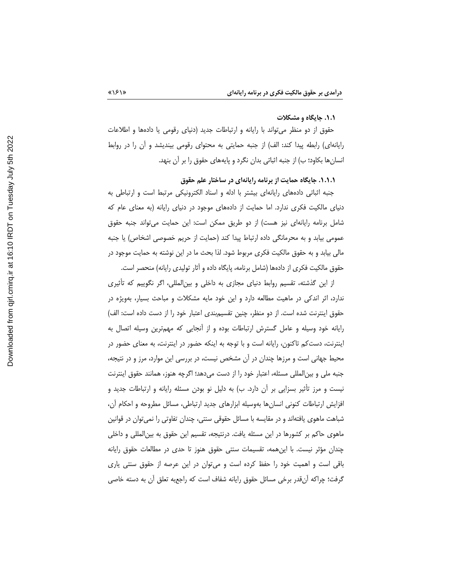#### ۰۱.۱ جایگاه و مشکلات

حقوق از دو منظر میتواند با رایانه و ارتباطات جدید (دنیای رقومی یا دادهها و اطلاعات رایانهای) رابطه پیدا کند: الف) از جنبه حمایتی به محتوای رقومی بیندیشد و أن را در روابط انسان ها بکاود؛ ب) از جنبه اثباتی بدان نگرد و پایههای حقوق را بر آن بنهد.

۱.۱.۱. جایگاه حمایت از برنامه رایانهای در ساختار علم حقوق

جنبه اثباتی دادههای رایانهای بیشتر با ادله و اسناد الکترونیکی مرتبط است و ارتباطی به دنیای مالکیت فکری ندارد. اما حمایت از دادههای موجود در دنیای رایانه (به معنای عام که شامل برنامه رایانهای نیز هست) از دو طریق ممکن است: این حمایت میتواند جنبه حقوق عمومی بیابد و به محرمانگی داده ارتباط پیدا کند (حمایت از حریم خصوصی اشخاص) یا جنبه مالی بیابد و به حقوق مالکیت فکری مربوط شود. لذا بحث ما در این نوشته به حمایت موجود در حقوق مالکیت فکری از دادهها (شامل برنامه، پایگاه داده و آثار تولیدی رایانه) منحصر است.

از این گذشته، تقسیم روابط دنیای مجازی به داخلی و بینالمللی، اگر نگوییم که تأثیری ندارد، اثر اندکی در ماهیت مطالعه دارد و این خود مایه مشکلات و مباحث بسیار، بهویژه در حقوق اینترنت شده است. از دو منظر، چنین تقسیمبندی اعتبار خود را از دست داده است: الف) رایانه خود وسیله و عامل گسترش ارتباطات بوده و از انجایی که مهمترین وسیله اتصال به اینترنت، دستکم تاکنون، رایانه است و با توجه به اینکه حضور در اینترنت، به معنای حضور در محیط جهانی است و مرزها چندان در آن مشخص نیست، در بررسی این موارد، مرز و در نتیجه، جنبه ملی و بینالمللی مسئله، اعتبار خود را از دست میدهد؛ اگرچه هنوز، همانند حقوق اینترنت نیست و مرز تأثیر بسزایی بر ان دارد. ب) به دلیل نو بودن مسئله رایانه و ارتباطات جدید و افزایش ارتباطات کنونی انسانها بهوسیله ابزارهای جدید ارتباطی، مسائل مطروحه و احکام آن، شباهت ماهوی یافتهاند و در مقایسه با مسائل حقوقی سنتی، چندان تفاوتی را نمیٍتوان در قوانین ماهوی حاکم بر کشورها در این مسئله یافت. درنتیجه، تقسیم این حقوق به بین|لمللی و داخلی چندان مؤثر نیست. با اینِ همه، تقسیمات سنتی حقوق هنوز تا حدی در مطالعات حقوق رایانه باقی است و اهمیت خود را حفظ کرده است و می¤وان در این عرصه از حقوق سنتی یاری گرفت؛ چراکه انقدر برخی مسائل حقوق رایانه شفاف است که راجعبه تعلق ان به دسته خاصی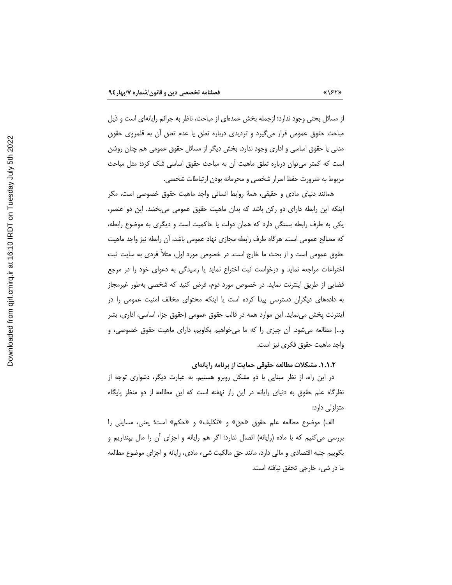از مسائل بحثی وجود ندارد؛ ازجمله بخش عمدهای از مباحث، ناظر به جرائم رایانهای است و ذیل مباحث حقوق عمومی قرار میگیرد و تردیدی درباره تعلق یا عدم تعلق أن به قلمروی حقوق مدنی یا حقوق اساسی و اداری وجود ندارد. بخش دیگر از مسائل حقوق عمومی هم چنان روشن است که کمتر می توان درباره تعلق ماهیت آن به مباحث حقوق اساسی شک کرد؛ مثل مباحث مربوط به ضرورت حفظ اسرار شخصی و محرمانه بودن ارتباطات شخصی.

همانند دنیای مادی و حقیقی، همهٔ روابط انسانی واجد ماهیت حقوق خصوصی است، مگر اینکه این رابطه دارای دو رکن باشد که بدان ماهیت حقوق عمومی میبخشد. این دو عنصر، یکی به طرف رابطه بستگی دارد که همان دولت یا حاکمیت است و دیگری به موضوع رابطه، كه مصالح عمومي است. هرگاه طرف رابطه مجازي نهاد عمومي باشد، آن رابطه نيز واجد ماهيت حقوق عمومی است و از بحث ما خارج است. در خصوص مورد اول، مثلاً فردی به سایت ثبت اختراعات مراجعه نماید و درخواست ثبت اختراع نماید یا رسیدگی به دعوای خود را در مرجع قضایی از طریق اینترنت نماید. در خصوص مورد دوم، فرض کنید که شخصی بهطور غیرمجاز به دادههای دیگران دسترسی پیدا کرده است یا اینکه محتوای مخالف امنیت عمومی را در اینترنت پخش می;ماید. این موارد همه در قالب حقوق عمومی (حقوق جزا، اساسی، اداری، بشر و…) مطالعه میشود. آن چیزی را که ما میخواهیم بکاویم، دارای ماهیت حقوق خصوصی، و واجد ماهيت حقوق فكرى نيز است.

#### ۰۱.۱.۲. مشکلات مطالعه حقوقی حمایت از برنامه رایانهای

در این راه، از نظر مبنایی با دو مشکل روبرو هستیم. به عبارت دیگر، دشواری توجه از نظرگاه علم حقوق به دنیای رایانه در این راز نهفته است که این مطالعه از دو منظر پایگاه متزلزلی دارد:

الف) موضوع مطالعه علم حقوق «حق» و «تكليف» و «حكم» است؛ يعني، مسايلي را بررسی می کنیم که با ماده (رایانه) اتصال ندارد؛ اگر هم رایانه و اجزای آن را مال بپنداریم و بگوييم جنبه اقتصادي و مالي دارد، مانند حق مالكيت شيء مادي، رايانه و اجزاي موضوع مطالعه ما در شيء خارجي تحقق نيافته است.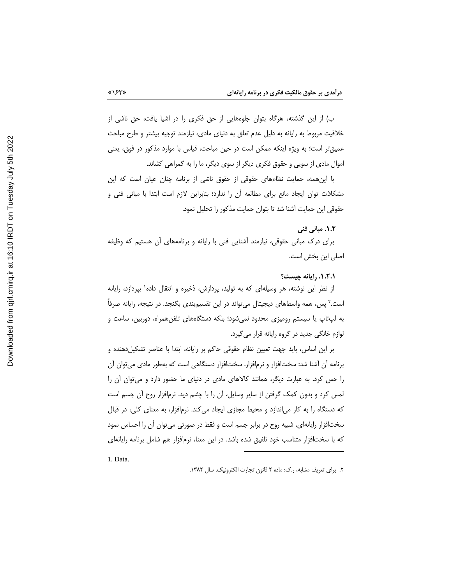ب) از این گذشته، هرگاه بتوان جلوههایی از حق فکری را در اشیا یافت، حق ناشی از خلاقیت مربوط به رایانه به دلیل عدم تعلق به دنیای مادی، نیازمند توجیه بیشتر و طرح مباحث عمیقتر است؛ به ویژه اینکه ممکن است در حین مباحث، قیاس با موارد مذکور در فوق، یعنی اموال مادی از سویی و حقوق فکری دیگر از سوی دیگر، ما را به گمراهی کشاند.

با این همه، حمایت نظامهای حقوقی از حقوق ناشی از برنامه چنان عیان است که این مشکلات توان ایجاد مانع برای مطالعه أن را ندارد؛ بنابراین لازم است ابتدا با مبانی فنی و حقوقی این حمایت آشنا شد تا بتوان حمایت مذکور را تحلیل نمود.

٠١.٢. مياني فني

برای درک مبانی حقوقی، نیازمند آشنایی فنی با رایانه و برنامههای آن هستیم که وظیفه اصلی این بخش است.

٠.٢.١. رايانه چيست؟

از نظر این نوشته، هر وسیلهای که به تولید، پردازش، ذخیره و انتقال داده` بپردازد، رایانه است.<sup>۲</sup> پس، همه واسطهای دیجیتال میتواند در این تقسیمٖبندی بگنجد. در نتیجه، رایانه صرفاً به لپتاپ یا سیستم رومیزی محدود نمی شود؛ بلکه دستگاههای تلفن همراه، دوربین، ساعت و لوازم خانگی جدید در گروه رایانه قرار می گیرد.

بر این اساس، باید جهت تعیین نظام حقوقی حاکم بر رایانه، ابتدا با عناصر تشکیلدهنده و برنامه أن أشنا شد: سختافزار و نرمافزار. سختافزار دستگاهی است که بهطور مادی می¤وان أن را حس کرد. به عبارت دیگر، همانند کالاهای مادی در دنیای ما حضور دارد و می توان آن را لمس کرد و بدون کمک گرفتن از سایر وسایل، آن را با چشم دید. نرمافزار روح آن جسم است که دستگاه را به کار میاندازد و محیط مجازی ایجاد میکند. نرمافزار، به معنای کلی، در قبال سختافزار رایانهای، شبیه روح در برابر جسم است و فقط در صورتی میتوان آن را احساس نمود که با سختافزار متناسب خود تلفیق شده باشد. در این معنا، نرمافزار هم شامل برنامه رایانهای

1. Data.

٢. براي تعريف مشابه، ر.ک: ماده ٢ قانون تجارت الكترونيک، سال ١٣٨٢.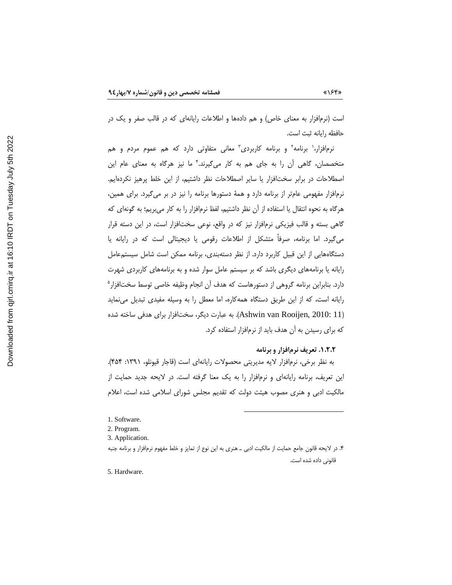است (نرمافزار به معنای خاص) و هم دادهها و اطلاعات رایانهای که در قالب صفر و یک در حافظه رايانه ثبت است.

نرم|فزار،' برنامه<sup>۲</sup> و برنامه کاربردی<sup>۳</sup> معانی متفاوتی دارد که هم عموم مردم و هم متخصصان، گاهی آن را به جای هم به کار میگیرند. ٌ ما نیز هرگاه به معنای عام این اصطلاحات در برابر سخت افزار یا سایر اصطلاحات نظر داشتیم، از این خلط پرهیز نکردهایم. نرمافزار مفهومی عامتر از برنامه دارد و همهٔ دستورها برنامه را نیز در بر می گیرد. برای همین، هرگاه به نحوه انتقال یا استفاده از آن نظر داشتیم، لفظ نرمافزار را به کار می,بریم؛ به گونهای که گاهی بسته و قالب فیزیکی نرمافزار نیز که در واقع، نوعی سختافزار است، در این دسته قرار می گیرد. اما برنامه، صرفاً متشکل از اطلاعات رقومی یا دیجیتالی است که در رایانه یا دستگاههایی از این قبیل کاربرد دارد. از نظر دستهبندی، برنامه ممکن است شامل سیستمعامل رایانه یا برنامههای دیگری باشد که بر سیستم عامل سوار شده و به برنامههای کاربردی شهرت دارد. بنابراین برنامه گروهی از دستورهاست که هدف آن انجام وظیفه خاصی توسط سختافزار<sup>ه</sup> رایانه است، که از این طریق دستگاه همهکاره، اما معطل را به وسیله مفیدی تبدیل می نماید (Ashwin van Rooijen, 2010: 11). به عبارت دیگر، سختافزار برای هدفی ساخته شده که برای رسیدن به آن هدف باید از نرمافزار استفاده کرد.

# ١.٢.٢. تعريف نرمافزار و برنامه

به نظر برخی، نرمافزار لایه مدیریتی محصولات رایانهای است (قاجار قیونلو، ۱۳۹۱: ۴۵۴). این تعریف، برنامه رایانهای و نرمافزار را به یک معنا گرفته است. در لایحه جدید حمایت از مالکیت ادبی و هنری مصوب هیئت دولت که تقدیم مجلس شورای اسلامی شده است، اعلام

<sup>1.</sup> Software.

<sup>2.</sup> Program.

<sup>3.</sup> Application.

۴. در لایحه قانون جامع حمایت از مالکیت ادبی ــ هنری به این نوع از تمایز و خلط مفهوم نرم|فزار و برنامه جنبه قانونی داده شده است.

<sup>5.</sup> Hardware.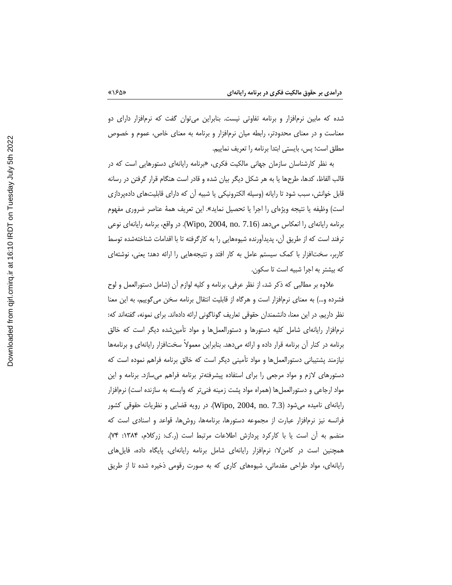شده که مابین نرمافزار و برنامه تفاوتی نیست. بنابراین میتوان گفت که نرمافزار دارای دو معناست و در معنای محدودتر، رابطه میان نرمافزار و برنامه به معنای خاص، عموم و خصوص مطلق است؛ پس، بایستی ابتدا برنامه را تعریف نماییم.

به نظر کارشناسان سازمان جهانی مالکیت فکری، «برنامه رایانهای دستورهایی است که در قالب الفاظ، كدها، طرحها يا به هر شكل ديگر بيان شده و قادر است هنگام قرار گرفتن در رسانه قابل خوانش، سبب شود تا رایانه (وسیله الکترونیکی یا شبیه أن که دارای قابلیتهای دادهپردازی است) وظيفه يا نتيجه ويژهاي را اجرا يا تحصيل نمايد». اين تعريف همهٔ عناصر ضروري مفهوم برنامه رايانهاي را انعكاس مي دهد (Wipo, 2004, no. 7.16). در واقع، برنامه رايانهاي نوعي ترفند است که از طریق آن، پدیدآورنده شیوههایی را به کارگرفته تا با اقدامات شناختهشده توسط کاربر، سختافزار با کمک سیستم عامل به کار افتد و نتیجههایی را ارائه دهد؛ یعنی، نوشتهای که بیشتر به اجرا شبیه است تا سکون.

علاوه بر مطالبی که ذکر شد، از نظر عرفی، برنامه و کلیه لوازم آن (شامل دستورالعمل و لوح فشرده و…) به معنای نرم|فزار است و هرگاه از قابلیت انتقال برنامه سخن میگوییم، به این معنا نظر داریم. در این معنا، دانشمندان حقوقی تعاریف گوناگونی ارائه دادهاند. برای نمونه، گفتهاند که: نرمافزار رایانهای شامل کلیه دستورها و دستورالعملها و مواد تأمینشده دیگر است که خالق برنامه در کنار آن برنامه قرار داده و ارائه میدهد. بنابراین معمولاً سختافزار رایانهای و برنامهها نیازمند پشتیبانی دستورالعملها و مواد تأمینی دیگر است که خالق برنامه فراهم نموده است که دستورهای لازم و مواد مرجعی را برای استفاده پیشرفتهتر برنامه فراهم میسازد. برنامه و این مواد ارجاعی و دستورالعملها (همراه مواد پشت زمینه فنی تر که وابسته به سازنده است) نرمافزار رایانهای نامیده میشود (Wipo, 2004, no. 7.3). در رویه قضایی و نظریات حقوقی کشور فرانسه نیز نرمافزار عبارت از مجموعه دستورها، برنامهها، روشها، قواعد و اسنادی است که منضم به أن است یا با کارکرد پردازش اطلاعات مرتبط است (ر.ک: زرکلام، ۱۳۸۴: ۷۴). همچنین است در کامن لا: نرمافزار رایانهای شامل برنامه رایانهای، پایگاه داده، فایل های رایانهای، مواد طراحی مقدماتی، شیوههای کاری که به صورت رقومی ذخیره شده تا از طریق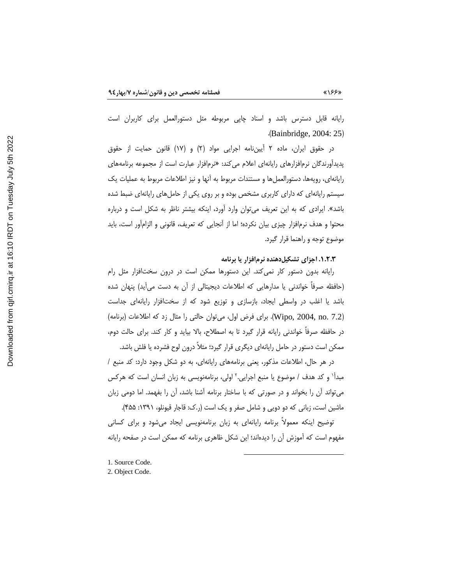رایانه قابل دسترس باشد و اسناد چاپی مربوطه مثل دستورالعمل برای کاربران است (Bainbridge, 2004: 25)

در حقوق ایران، ماده ۲ اَییننامه اجرایی مواد (۲) و (۱۷) قانون حمایت از حقوق یدیدآورندگان نرمافزارهای رایانهای اعلام می کند: «نرمافزار عبارت است از مجموعه برنامههای رایانهای، رویهها، دستورالعملها و مستندات مربوط به أنها و نیز اطلاعات مربوط به عملیات یک سیستم رایانهای که دارای کاربری مشخص بوده و بر روی یکی از حاملهای رایانهای ضبط شده باشد». ایرادی که به این تعریف می توان وارد آورد، اینکه بیشتر ناظر به شکل است و درباره محتوا و هدف نرمافزار چیزی بیان نکرده؛ اما از آنجایی که تعریف، قانونی و الزامآور است، باید موضوع توجه و راهنما قرار گیرد.

#### ۰۱.۲.۳ اجزای تشکیلدهنده نرمافزار یا برنامه

رایانه بدون دستور کار نمی کند. این دستورها ممکن است در درون سختافزار مثل رام (حافظه صرفاً خواندنی یا مدارهایی که اطلاعات دیجیتالی از آن به دست میآید) پنهان شده باشد یا اغلب در واسطی ایجاد، بازسازی و توزیع شود که از سختافزار رایانهای جداست (Wipo, 2004, no. 7.2). براى فرض اول، مى توان حالتى را مثال زد كه اطلاعات (برنامه) در حافظه صرفاً خواندنی رایانه قرار گیرد تا به اصطلاح، بالا بیاید و کار کند. برای حالت دوم، ممکن است دستور در حامل رایانهای دیگری قرار گیرد؛ مثلاً درون لوح فشرده یا فلش باشد.

در هر حال، اطلاعات مذکور، یعنی برنامههای رایانهای، به دو شکل وجود دارد: کد منبع / مبدأ` و کد هدف / موضوع یا منبع اجرایی.` اولی، برنامهنویسی به زبان انسان است که هرکس میتواند أن را بخواند و در صورتی که با ساختار برنامه أشنا باشد، أن را بفهمد. اما دومی زبان ماشین است، زبانی که دو دویی و شامل صفر و یک است (ر.ک: قاجار قیونلو، ۱۳۹۱: ۴۵۵).

توضیح اینکه معمولاً برنامه رایانهای به زبان برنامهنویسی ایجاد میشود و برای کسانی مفهوم است که آموزش آن را دیدهاند؛ این شکل ظاهری برنامه که ممکن است در صفحه رایانه

<sup>1.</sup> Source Code.

<sup>2.</sup> Object Code.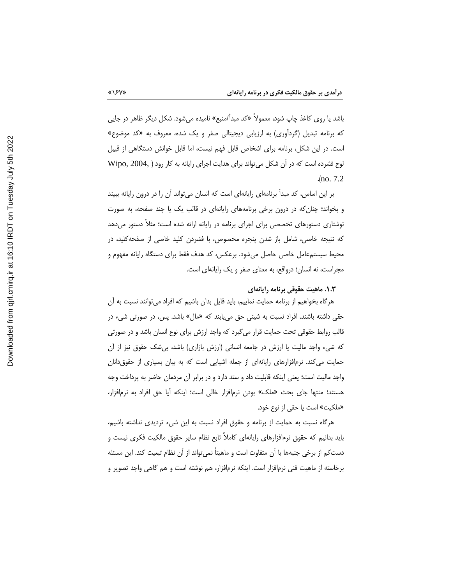باشد یا روی کاغذ چاپ شود، معمولاً «کد مبدأ/منبع» نامیده میشود. شکل دیگر ظاهر در جایی که برنامه تبدیل (گردآوری) به ارزیابی دیجیتالی صفر و یک شده، معروف به «کد موضوع» است. در این شکل، برنامه برای اشخاص قابل فهم نیست، اما قابل خوانش دستگاهی از قبیل لوح فشرده است که در آن شکل می تواند برای هدایت اجرای رایانه به کار رود ( .Wipo, 2004  $(no. 7.2)$ 

بر این اساس، کد مبدأ برنامهای رایانهای است که انسان میتواند آن را در درون رایانه ببیند و بخواند؛ چنان که در درون برخی برنامههای رایانهای در قالب یک یا چند صفحه، به صورت نوشتاری دستورهای تخصصی برای اجرای برنامه در رایانه ارائه شده است؛ مثلاً دستور می دهد که نتیجه خاصی، شامل باز شدن پنجره مخصوص، با فشردن کلید خاصی از صفحهکلید، در محیط سیستمءامل خاصی حاصل میشود. برعکس، کد هدف فقط برای دستگاه رایانه مفهوم و مجراست، نه انسان؛ درواقع، به معنای صفر و یک رایانهای است.

۰.۳. ماهیت حقوقی برنامه رایانهای

هرگاه بخواهیم از برنامه حمایت نماییم، باید قایل بدان باشیم که افراد می توانند نسبت به آن حقی داشته باشند. افراد نسبت به شیئی حق میbباند که «مال» باشد. پس، در صورتی شیء در قالب روابط حقوقی تحت حمایت قرار میگیرد که واجد ارزش برای نوع انسان باشد و در صورتی که شیء واجد مالیت یا ارزش در جامعه انسانی (ارزش بازاری) باشد، بیشک حقوق نیز از آن حمایت می کند. نرمافزارهای رایانهای از جمله اشیایی است که به بیان بسیاری از حقوق دانان واجد مالیت است؛ یعنی اینکه قابلیت داد و ستد دارد و در برابر آن مردمان حاضر به پرداخت وجه هستند؛ منتها جای بحث «ملک» بودن نرم|فزار خالی است؛ اینکه أیا حق افراد به نرم|فزار، «ملكيت» است يا حقى از نوع خود.

هرگاه نسبت به حمایت از برنامه و حقوق افراد نسبت به این شیء تردیدی نداشته باشیم، باید بدانیم که حقوق نرمافزارهای رایانهای کاملاً تابع نظام سایر حقوق مالکیت فکری نیست و دستكم از برخي جنبهها با أن متفاوت است و ماهيتاً نمي تواند از أن نظام تبعيت كند. اين مسئله برخاسته از ماهیت فنی نرمافزار است. اینکه نرمافزار، هم نوشته است و هم گاهی واجد تصویر و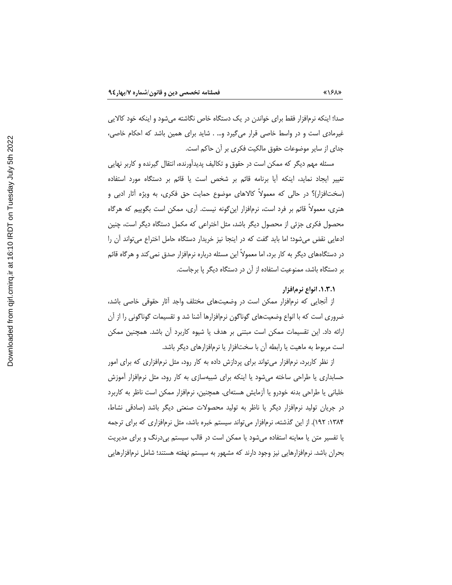صدا؛ اینکه نرمافزار فقط برای خواندن در یک دستگاه خاص نگاشته میشود و اینکه خود کالایی غیرمادی است و در واسط خاصی قرار میگیرد و… . شاید برای همین باشد که احکام خاصی، جدای از سایر موضوعات حقوق مالکیت فکری بر آن حاکم است.

مسئله مهم دیگر که ممکن است در حقوق و تکالیف پدیدآورنده، انتقال گیرنده و کاربر نهایی تغییر ایجاد نماید، اینکه آیا برنامه قائم بر شخص است یا قائم بر دستگاه مورد استفاده (سخت|فزار)؟ در حالي كه معمولاً كالاهاى موضوع حمايت حق فكرى، به ويژه أثار ادبى و هنری، معمولاً قائم بر فرد است، نرم|فزار این گونه نیست. آری، ممکن است بگوییم که هرگاه محصول فکری جزئی از محصول دیگر باشد، مثل اختراعی که مکمل دستگاه دیگر است، چنین ادعایی نقض میشود؛ اما باید گفت که در اینجا نیز خریدار دستگاه حامل اختراع میتواند آن را در دستگاههای دیگر به کار برد، اما معمولاً این مسئله درباره نرمافزار صدق نمی کند و هرگاه قائم بر دستگاه باشد، ممنوعیت استفاده از آن در دستگاه دیگر پا برجاست.

#### ٠.٣.١. انواع نرمافزار

از آنجایی که نرمافزار ممکن است در وضعیتهای مختلف واجد آثار حقوقی خاصی باشد، ضروری است که با انواع وضعیتهای گوناگون نرمافزارها آشنا شد و تقسیمات گوناگونی را از آن ارائه داد. این تقسیمات ممکن است مبتنی بر هدف یا شیوه کاربرد آن باشد. همچنین ممکن است مربوط به ماهیت یا رابطه آن با سختافزار یا نرمافزارهای دیگر باشد.

از نظر کاربرد، نرمافزار می تواند برای پردازش داده به کار رود، مثل نرمافزاری که برای امور حسابداری یا طراحی ساخته میشود یا اینکه برای شبیهسازی به کار رود، مثل نرمافزار آموزش خلبانی یا طراحی بدنه خودرو یا آزمایش هستهای. همچنین، نرمافزار ممکن است ناظر به کاربرد در جریان تولید نرمافزار دیگر یا ناظر به تولید محصولات صنعتی دیگر باشد (صادقی نشاط، ۱۳۸۴: ۱۹۲). از این گذشته، نرمافزار میتواند سیستم خبره باشد، مثل نرمافزاری که برای ترجمه یا تفسیر متن یا معاینه استفاده میشود یا ممکن است در قالب سیستم بیدرنگ و برای مدیریت بحران باشد. نرمافزارهایی نیز وجود دارند که مشهور به سیستم نهفته هستند؛ شامل نرمافزارهایی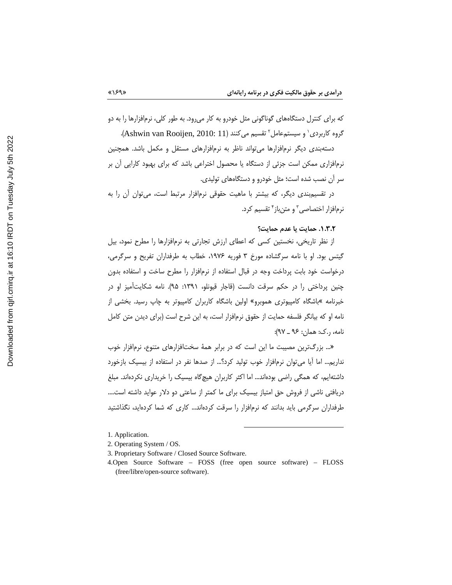که برای کنترل دستگاههای گوناگونی مثل خودرو به کار می رود. به طور کلی، نرمافزارها را به دو گروه كاربردى<sup>،</sup> و سيستم عامل<sup>٢</sup> تقسيم مى كنند (Ashwin van Rooijen, 2010: 11).

دستهبندی دیگر نرمافزارها می تواند ناظر به نرمافزارهای مستقل و مکمل باشد. همچنین نرمافزاری ممکن است جزئی از دستگاه یا محصول اختراعی باشد که برای بهبود کارایی آن بر سر آن نصب شده است؛ مثل خودرو و دستگاههای تولیدی.

در تقسیمبندی دیگر، که بیشتر با ماهیت حقوقی نرمافزار مرتبط است، میتوان آن را به نرمافزار اختصاصی" و متن باز " تقسیم کرد.

# ٠.٣.٢. حمايت يا عدم حمايت؟

از نظر تاریخی، نخستین کسی که اعطای ارزش تجارتی به نرمافزارها را مطرح نمود، بیل گیتس بود. او با نامه سرگشاده مورخ ۳ فوریه ۱۹۷۶، خطاب به طرفداران تفریح و سرگرمی، درخواست خود بابت پرداخت وجه در قبال استفاده از نرمافزار را مطرح ساخت و استفاده بدون چنین پرداختی را در حکم سرقت دانست (قاجار قیونلو، ۱۳۹۱: ۹۵). نامه شکایتآمیز او در خبرنامه »باشگاه کامپیوتری هموبرو» اولین باشگاه کاربران کامپیوتر به چاپ رسید. بخشی از نامه او که بیانگر فلسفه حمایت از حقوق نرمافزار است، به این شرح است (برای دیدن متن کامل نامه، ,.ک: همان: ۹۶ \_ ۹۷):

«... بزرگترین مصیبت ما این است که در برابر همهٔ سختافزارهای متنوع، نرمافزار خوب نداریم... اما آیا می توان نرمافزار خوب تولید کرد؟... از صدها نفر در استفاده از بیسیک بازخورد داشتهایم، که همگی راضی بودهاند… اما اکثر کاربران هیچگاه بیسیک را خریداری نکردهاند. مبلغ دریافتی ناشی از فروش حق امتیاز بیسیک برای ما کمتر از ساعتی دو دلار عواید داشته است.... طرفداران سرگرمی باید بدانند که نرمافزار را سرقت کردهاند... کاری که شما کردهاید، نگذاشتید

1. Application.

 $\langle \langle \rangle \rangle$ 

- 2. Operating System / OS.
- 3. Proprietary Software / Closed Source Software.
- 4.Open Source Software FOSS (free open source software) FLOSS (free/libre/open-source software).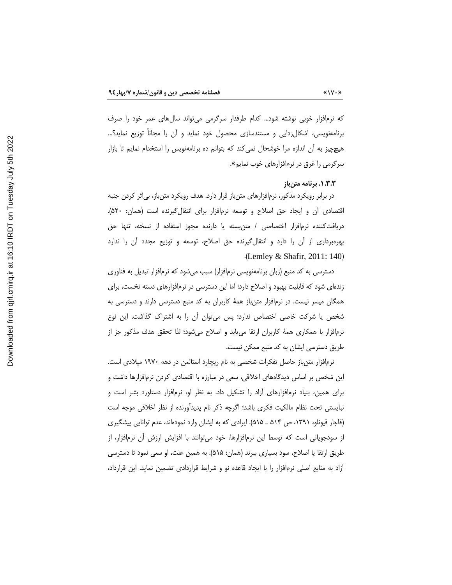که نرمافزار خوبی نوشته شود… کدام طرفدار سرگرمی میتواند سالهای عمر خود را صرف برنامهنویسی، اشکالزدایی و مستندسازی محصول خود نماید و آن را مجاناً توزیع نماید؟… هیچچیز به آن اندازه مرا خوشحال نمی کند که بتوانم ده برنامهنویس را استخدام نمایم تا بازار سرگرمی را غرق در نرمافزارهای خوب نمایم».

#### ۱.۳.۳. برنامه متن باز

در برابر رویکرد مذکور، نرمافزارهای متنباز قرار دارد. هدف رویکرد متنباز، بی|ثر کردن جنبه اقتصادی أن و ایجاد حق اصلاح و توسعه نرمافزار برای انتقال گیرنده است (همان: ۵۲۰). دریافتکننده نرم|فزار اختصاصی / متنبسته یا دارنده مجوز استفاده از نسخه، تنها حق بهرهبرداری از آن را دارد و انتقال گیرنده حق اصلاح، توسعه و توزیع مجدد آن را ندارد  $\Delta$ . (Lemley & Shafir, 2011: 140)

دسترسی به کد منبع (زبان برنامهنویسی نرم|فزار) سبب میشود که نرم|فزار تبدیل به فناوری زندهای شود که قابلیت بهبود و اصلاح دارد؛ اما این دسترسی در نرمافزارهای دسته نخست، برای همگان میسر نیست. در نرمافزار متنباز همهٔ کاربران به کد منبع دسترسی دارند و دسترسی به شخص یا شرکت خاصی اختصاص ندارد؛ پس میتوان آن را به اشتراک گذاشت. این نوع نرم|فزار با همکاری همهٔ کاربران ارتقا میµبد و اصلاح میشود؛ لذا تحقق هدف مذکور جز از طریق دسترسی ایشان به کد منبع ممکن نیست.

نرمافزار متن باز حاصل تفکرات شخصی به نام ریچارد استالمن در دهه ۱۹۷۰ میلادی است. این شخص بر اساس دیدگاههای اخلاقی، سعی در مبارزه با اقتصادی کردن نرمافزارها داشت و برای همین، بنیاد نرمافزارهای آزاد را تشکیل داد. به نظر او، نرمافزار دستاورد بشر است و نبایستی تحت نظام مالکیت فکری باشد؛ اگرچه ذکر نام پدیداورنده از نظر اخلاقی موجه است (قاجار قیونلو، ۱۳۹۱، ص ۵۱۴ ـ ۵۱۵). ایرادی که به ایشان وارد نمودهاند، عدم توانایی پیشگیری از سودجویانی است که توسط این نرمافزارها، خود می¤وانند با افزایش ارزش آن نرمافزار، از طريق ارتقا يا اصلاح، سود بسياري ببرند (همان: ۵۱۵). به همين علت، او سعى نمود تا دسترسي آزاد به منابع اصلی نرمافزار را با ایجاد قاعده نو و شرایط قراردادی تضمین نماید. این قرارداد،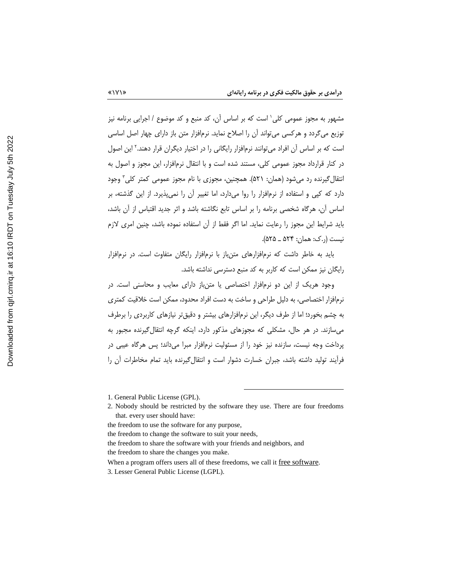مشهور به مجوز عمومی کلی' است که بر اساس آن، کد منبع و کد موضوع / اجرایی برنامه نیز توزیع میگردد و هرکسی میتواند آن را اصلاح نماید. نرمافزار متن باز دارای چهار اصل اساسی است که بر اساس آن افراد می¤وانند نرم|فزار رایگانی را در اختیار دیگران قرار دهند.<sup>۲</sup> این اصول در کنار قرارداد مجوز عمومی کلی، مستند شده است و با انتقال نرمافزار، این مجوز و اصول به انتقال گیرنده رد میشود (همان: ۵۲۱). همچنین، مجوزی با نام مجوز عمومی کمتر کلی" وجود دارد که کپی و استفاده از نرمافزار را روا میدارد، اما تغییر آن را نمی پذیرد. از این گذشته، بر اساس آن، هرگاه شخصی برنامه را بر اساس تابع نگاشته باشد و اثر جدید اقتباس از آن باشد، بايد شرايط اين مجوز را رعايت نمايد. اما اگر فقط از آن استفاده نموده باشد، چنين امري لازم نیست (ر.ک: همان: ۵۲۴ \_ ۵۲۵).

باید به خاطر داشت که نرمافزارهای متنباز با نرمافزار رایگان متفاوت است. در نرمافزار رایگان نیز ممکن است که کاربر به کد منبع دسترسی نداشته باشد.

وجود هریک از این دو نرمافزار اختصاصی یا متن باز دارای معایب و محاسنی است. در نرمافزار اختصاصی، به دلیل طراحی و ساخت به دست افراد محدود، ممکن است خلاقیت کمتری به چشم بخورد؛ اما از طرف دیگر، این نرمافزارهای بیشتر و دقیقتر نیازهای کاربردی را برطرف می سازند. در هر حال، مشکلی که مجوزهای مذکور دارد، اینکه گرچه انتقال گیرنده مجبور به پرداخت وجه نیست، سازنده نیز خود را از مسئولیت نرمافزار مبرا میداند؛ پس هرگاه عیبی در فرآیند تولید داشته باشد، جبران خسارت دشوار است و انتقال گیرنده باید تمام مخاطرات آن را

<sup>1.</sup> General Public License (GPL).

<sup>2.</sup> Nobody should be restricted by the software they use. There are four freedoms that. every user should have:

the freedom to use the software for any purpose,

the freedom to change the software to suit your needs,

the freedom to share the software with your friends and neighbors, and the freedom to share the changes you make.

When a program offers users all of these freedoms, we call it free software.

<sup>3.</sup> Lesser General Public License (LGPL).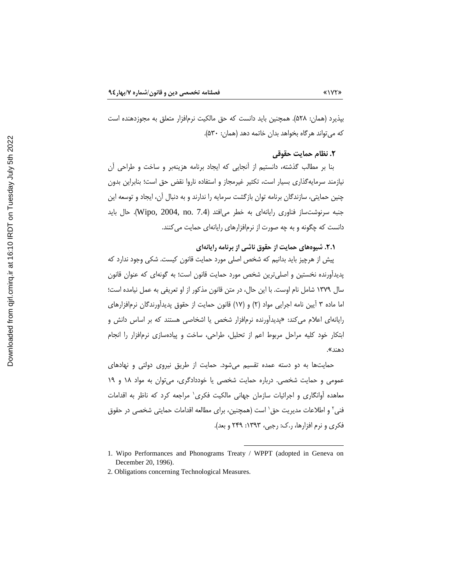بيذيرد (همان: ۵۲۸). همچنين بايد دانست كه حق مالكيت نرمافزار متعلق به مجوزدهنده است كه مي تواند هرگاه بخواهد بدان خاتمه دهد (همان: ۵۳۰).

# ٢. نظام حمايت حقوقي

بنا بر مطالب گذشته، دانستیم از آنجایی که ایجاد برنامه هزینهبر و ساخت و طراحی آن نیازمند سرمایهگذاری بسیار است، تکثیر غیرمجاز و استفاده ناروا نقض حق است؛ بنابراین بدون چنین حمایتی، سازندگان برنامه توان بازگشت سرمایه را ندارند و به دنبال آن، ایجاد و توسعه این جنبه سرنوشتساز فناوری رایانهای به خطر میافتد (Wipo, 2004, no. 7.4). حال باید دانست که چگونه و به چه صورت از نرمافزارهای رایانهای حمایت می کنند.

۲.۱. شیوههای حمایت از حقوق ناشی از برنامه رایانهای

پیش از هرچیز باید بدانیم که شخص اصلی مورد حمایت قانون کیست. شکی وجود ندارد که پدیدآورنده نخستین و اصلیترین شخص مورد حمایت قانون است؛ به گونهای که عنوان قانون سال ۱۳۷۹ شامل نام اوست. با این حال، در متن قانون مذکور از او تعریفی به عمل نیامده است؛ اما ماده ۳ آیین نامه اجرایی مواد (۲) و (۱۷) قانون حمایت از حقوق پدیدآورندگان نرمافزارهای رایانهای اعلام می کند: «پدیدآورنده نرمافزار شخص یا اشخاصی هستند که بر اساس دانش و ابتکار خود کلیه مراحل مربوط اعم از تحلیل، طراحی، ساخت و پیادهسازی نرمافزار را انجام دهند».

حمایتها به دو دسته عمده تقسیم می شود. حمایت از طریق نیروی دولتی و نهادهای عمومي و حمايت شخصي. درباره حمايت شخصي يا خوددادگري، مي توان به مواد ١٨ و ١٩ معاهده آوانگاری و اجرائیات سازمان جهانی مالکیت فکری<sup>،</sup> مراجعه کرد که ناظر به اقدامات فنی<sup>۲</sup> و اطلاعات مدیریت حق<sup>۱</sup> است (همچنین، برای مطالعه اقدامات حمایتی شخصی در حقوق فكرى و نرم افزارها، ر.ك: رجبي، ١٣٩٣: ٢۴٩ و بعد).

<sup>1.</sup> Wipo Performances and Phonograms Treaty / WPPT (adopted in Geneva on December 20, 1996).

<sup>2.</sup> Obligations concerning Technological Measures.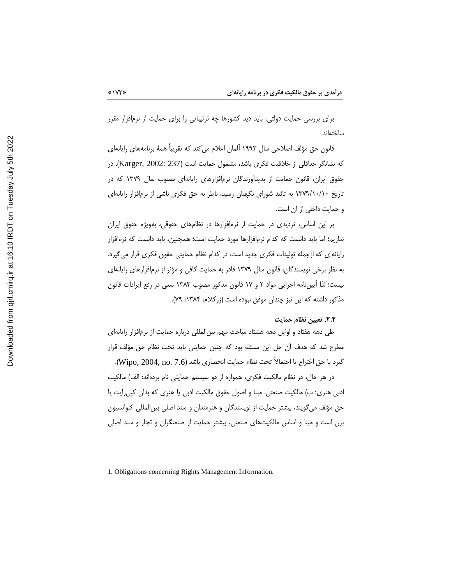برای بررسی حمایت دولتی، باید دید کشورها چه ترتیباتی را برای حمایت از نرمافزار مقرر ساختەاند.

قانون حق مؤلف اصلاحی سال ۱۹۹۳ آلمان اعلام میکند که تقریباً همهٔ برنامههای رایانهای كه نشانگر حداقلی از خلاقیت فكرى باشد، مشمول حمایت است (Karger, 2002: 237). در حقوق ایران، قانون حمایت از پدیدآورندگان نرمافزارهای رایانهای مصوب سال ۱۳۷۹ که در تاریخ ۱۳۷۹/۱۰/۱۰ به تائید شورای نگهبان رسید، ناظر به حق فکری ناشی از نرمافزار رایانهای و حمایت داخلی از آن است.

بر این اساس، تردیدی در حمایت از نرمافزارها در نظامهای حقوقی، بهویژه حقوق ایران نداریم؛ اما باید دانست که کدام نرمافزارها مورد حمایت است؛ همچنین، باید دانست که نرمافزار رایانهای که ازجمله تولیدات فکری جدید است، در کدام نظام حمایتی حقوق فکری قرار میگیرد. به نظر برخی نویسندگان، قانون سال ۱۳۷۹ قادر به حمایت کافی و مؤثر از نرمافزارهای رایانهای نیست؛ لذا آیین،نامه اجرایی مواد ۲ و ۱۷ قانون مذکور مصوب ۱۳۸۳ سعی در رفع ایرادات قانون مذكور داشته كه اين نيز چندان موفق نبوده است (زركلام، ۱۳۸۴: ۷۹).

#### ٢.٢. تعيين نظام حمايت

طی دهه هفتاد و اوایل دهه هشتاد مباحث مهم بین|لمللی درباره حمایت از نرم|فزار رایانه|ی مطرح شد که هدف اًن حل این مسئله بود که چنین حمایتی باید تحت نظام حق مؤلف قرار گيرد يا حق اختراع يا احتمالاً تحت نظام حمايت انحصاري باشد (Wipo, 2004, no. 7.6).

در هر حال، در نظام مالکیت فکری، همواره از دو سیستم حمایتی نام بردهاند: الف) مالکیت ادبی هنری؛ ب) مالکیت صنعتی. مبنا و اصول حقوق مالکیت ادبی یا هنری که بدان کپی رایت یا حق مؤلف می گویند، بیشتر حمایت از نویسندگان و هنرمندان و سند اصلی بین|لمللی کنوانسیون برن است و مبنا و اساس مالکیتهای صنعتی، بیشتر حمایت از صنعتگران و تجار و سند اصلی

<sup>1.</sup> Obligations concerning Rights Management Information.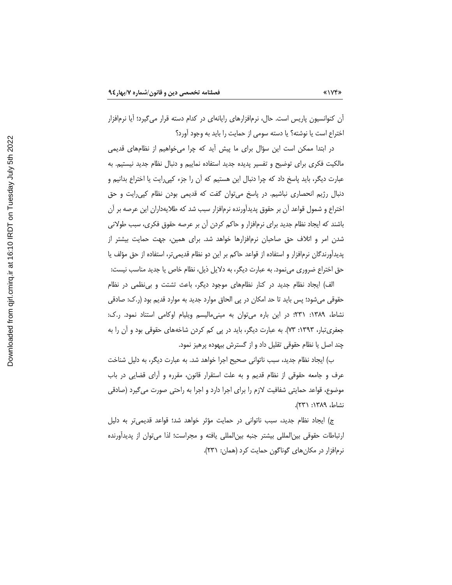آن کنوانسیون پاریس است. حال، نرمافزارهای رایانهای در کدام دسته قرار میگیرد؛ آیا نرمافزار اختراع است یا نوشته؟ یا دسته سومی از حمایت را باید به وجود آورد؟

در ابتدا ممکن است این سؤال برای ما پیش آید که چرا میخواهیم از نظامهای قدیمی مالکیت فکری برای توضیح و تفسیر پدیده جدید استفاده نماییم و دنبال نظام جدید نیستیم. به عبارت دیگر، باید پاسخ داد که چرا دنبال این هستیم که آن را جزء کپیرایت یا اختراع بدانیم و دنبال رژیم انحصاری نباشیم. در پاسخ می توان گفت که قدیمی بودن نظام کپی رایت و حق اختراع و شمول قواعد أن بر حقوق پدیدآورنده نرمافزار سبب شد که طلایهداران این عرصه بر أن باشند که ایجاد نظام جدید برای نرمافزار و حاکم کردن آن بر عرصه حقوق فکری، سبب طولانی شدن امر و اتلاف حق صاحبان نرمافزارها خواهد شد. برای همین، جهت حمایت بیشتر از پدیدآورندگان نرمافزار و استفاده از قواعد حاکم بر این دو نظام قدیمیتر، استفاده از حق مؤلف یا حق اختراع ضروری مینمود. به عبارت دیگر، به دلایل ذیل، نظام خاص یا جدید مناسب نیست:

الف) ایجاد نظام جدید در کنار نظامهای موجود دیگر، باعث تشتت و بی نظمی در نظام حقوقی میشود؛ پس باید تا حد امکان در پی الحاق موارد جدید به موارد قدیم بود (ر.ک: صادقی نشاط، ۱۳۸۹: ۳۳۱؛ در این باره میتوان به مینیمالیسم ویلیام اوکامی استناد نمود. ر.ک: جعفری تبار، ۱۳۹۳: ۷۳). به عبارت دیگر، باید در پی کم کردن شاخههای حقوقی بود و آن را به چند اصل یا نظام حقوقی تقلیل داد و از گسترش بیهوده پرهیز نمود.

ب) ایجاد نظام جدید، سبب ناتوانی صحیح اجرا خواهد شد. به عبارت دیگر، به دلیل شناخت عرف و جامعه حقوقی از نظام قدیم و به علت استقرار قانون، مقرره و آرای قضایی در باب موضوع، قواعد حمایتی شفافیت لازم را برای اجرا دارد و اجرا به راحتی صورت می گیرد (صادقی نشاط، ١٣٨٩: ٢٣١).

ج) ایجاد نظام جدید، سبب ناتوانی در حمایت مؤثر خواهد شد؛ قواعد قدیمیتر به دلیل ارتباطات حقوقی بین|لمللی بیشتر جنبه بین|لمللی یافته و مجراست؛ لذا می¤وان از پدیدأورنده نرمافزار در مكان هاى گوناگون حمايت كرد (همان: ۲۳۱).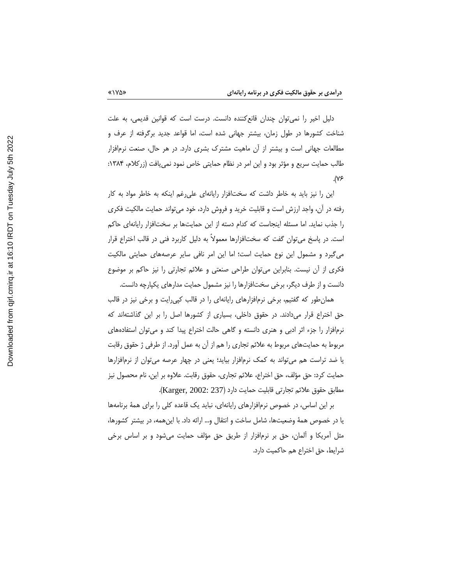دلیل اخیر را نمیتوان چندان قانع کننده دانست. درست است که قوانین قدیمی، به علت شناخت کشورها در طول زمان، بیشتر جهانی شده است، اما قواعد جدید برگرفته از عرف و مطالعات جهانی است و بیشتر از آن ماهیت مشترک بشری دارد. در هر حال، صنعت نرمافزار طالب حمایت سریع و مؤثر بود و این امر در نظام حمایتی خاص نمود نمی یافت (زرکلام، ۱۳۸۴:  $\mathcal{N}$ 

این را نیز باید به خاطر داشت که سختافزار رایانهای علی رغم اینکه به خاطر مواد به کار رفته در آن، واجد ارزش است و قابلیت خرید و فروش دارد، خود میتواند حمایت مالکیت فکری را جذب نماید. اما مسئله اینجاست که کدام دسته از این حمایتها بر سختافزار رایانهای حاکم است. در پاسخ می توان گفت که سختافزارها معمولاً به دلیل کاربرد فنی در قالب اختراع قرار می گیرد و مشمول این نوع حمایت است؛ اما این امر نافی سایر عرصههای حمایتی مالکیت فکری از آن نیست. بنابراین میتوان طراحی صنعتی و علائم تجارتی را نیز حاکم بر موضوع دانست و از طرف دیگر، برخی سختافزارها را نیز مشمول حمایت مدارهای یکپارچه دانست.

همان طور که گفتیم، برخی نرمافزارهای رایانهای را در قالب کپی رایت و برخی نیز در قالب حق اختراع قرار میدادند. در حقوق داخلی، بسیاری از کشورها اصل را بر این گذاشتهاند که نرم|فزار را جزء اثر ادبی و هنری دانسته و گاهی حالت اختراع پیدا کند و میتوان استفادههای مربوط به حمایتهای مربوط به علائم تجاری را هم از آن به عمل آورد. از طرفی ژ حقوق رقابت یا ضد تراست هم می¤واند به کمک نرم|فزار بیاید؛ یعنی در چهار عرصه می¤وان از نرم|فزارها حمايت كرد: حق مؤلف، حق اختراع، علائم تجارى، حقوق رقابت. علاوه بر اين، نام محصول نيز مطابق حقوق علائم تجارتي قابليت حمايت دارد (Karger, 2002: 237).

بر این اساس، در خصوص نرمافزارهای رایانهای، نباید یک قاعده کلی را برای همهٔ برنامهها یا در خصوص همهٔ وضعیتها، شامل ساخت و انتقال و… ارائه داد. با اینهمه، در بیشتر کشورها، مثل آمریکا و المان، حق بر نرمافزار از طریق حق مؤلف حمایت میشود و بر اساس برخی شرايط، حق اختراع هم حاكميت دارد.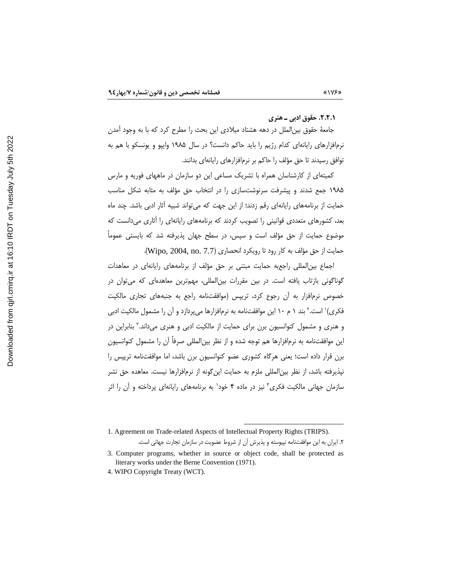٢.٢.١. حقوق ادبي ـ هنري

جامعهٔ حقوق بینالملل در دهه هشتاد میلادی این بحث را مطرح کرد که با به وجود آمدن نرمافزارهای رایانهای کدام رژیم را باید حاکم دانست؟ در سال ۱۹۸۵ وایپو و یونسکو با هم به توافق رسیدند تا حق مؤلف را حاکم بر نرمافزارهای رایانهای بدانند.

کمیتهای از کارشناسان همراه با تشریک مساعی این دو سازمان در ماههای فوریه و مارس ۱۹۸۵ جمع شدند و پیشرفت سرنوشتسازی را در انتخاب حق مؤلف به مثابه شکل مناسب حمایت از برنامههای رایانهای رقم زدند؛ از این جهت که میتواند شبیه آثار ادبی باشد. چند ماه بعد، کشورهای متعددی قوانینی را تصویب کردند که برنامههای رایانهای را آثاری میدانست که موضوع حمایت از حق مؤلف است و سپس، در سطح جهان پذیرفته شد که بایستی عموماً حمايت از حق مؤلف به كار رود تا رويكرد انحصارى (Wipo, 2004, no. 7.7).

اجماع بینالمللی راجعبه حمایت مبتنی بر حق مؤلف از برنامههای رایانهای در معاهدات گوناگونی بازتاب یافته است. در بین مقررات بین|لمللی، مهمترین معاهدهای که می¤وان در خصوص نرمافزار به أن رجوع كرد، تريبس (موافقتنامه راجع به جنبههاى تجارى مالكيت فکری)` است.۲ بند ۱ م ۱۰ این موافقتنامه به نرمافزارها میپردازد و آن را مشمول مالکیت ادبی و هنری و مشمول کنوانسیون برن برای حمایت از مالکیت ادبی و هنری میداند.<sup>۳</sup> بنابراین در این موافقتنامه به نرمافزارها هم توجه شده و از نظر بین|لمللی صرفاً آن را مشمول کنوانسیون برن قرار داده است؛ یعنی هرگاه کشوری عضو کنوانسیون برن باشد، اما موافقتنامه ترییس را نیذیرفته باشد، از نظر بین|لمللی ملزم به حمایت این¢ونه از نرم|فزارها نیست. معاهده حق نشر سازمان جهانی مالکیت فکری<sup>۶</sup> نیز در ماده ۴ خود<sup>۱</sup> به برنامههای رایانهای پرداخته و آن را اثر

<sup>1.</sup> Agreement on Trade-related Aspects of Intellectual Property Rights (TRIPS). ۲. ایران به این موافقتنامه نپیوسته و پذیرش آن از شروط عضویت در سازمان تجارت جهانی است.

<sup>3.</sup> Computer programs, whether in source or object code, shall be protected as literary works under the Berne Convention (1971).

<sup>4.</sup> WIPO Copyright Treaty (WCT).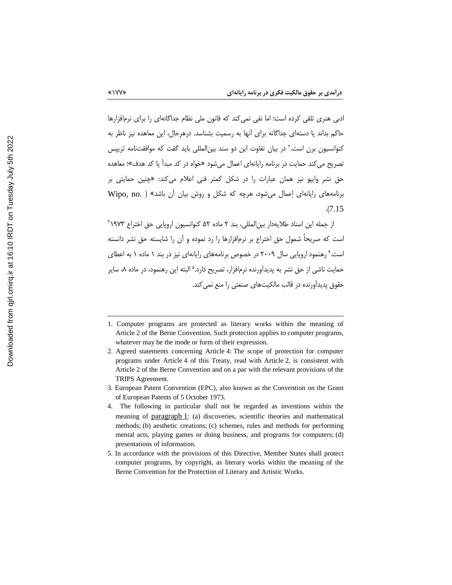ادبی هنری تلقی کرده است؛ اما نفی نمی کند که قانون ملی نظام جداگانهای را برای نرمافزارها حاکم بداند یا دستهای جداگانه برای آنها به رسمیت بشناسد. درهرحال، این معاهده نیز ناظر به کنوانسیون برن است.<sup>۲</sup> در بیان تفاوت این دو سند بین|لمللی باید گفت که موافقتنامه تریپس تصریح می کند حمایت در برنامه رایانهای اعمال می شود «خواه در کد میدأ یا کد هدف»؛ معاهده حق نشر وایپو نیز همان عبارات را در شکل کمتر فنی اعلام میکند: «چنین حمایتی بر برنامههای رایانهای اِعمال می شود، هرچه که شکل و روش بیان آن باشد» ( .Wipo, no  $.7.15$ 

از جمله این اسناد طلایهدار بین(لمللی، بند ۲ ماده ۵۲ کنوانسیون اروپایی حق اختراع ۱۹۷۳" است که صریحاً شمول حق اختراع بر نرم|فزارها را رد نموده و آن را شایسته حق نشر دانسته است.۴ رهنمود اروپایی سال ۲۰۰۹ در خصوص برنامههای رایانهای نیز در بند ۱ ماده ۱ به اعطای حمايت ناشي از حق نشر به پديدآورنده نرمافزار، تصريح دارد.<sup>ه</sup> البته اين رهنمود، در ماده ۸، ساير حقوق پدیدآورنده در قالب مالکیتهای صنعتی را منع نمی کند.

<sup>1.</sup> Computer programs are protected as literary works within the meaning of Article 2 of the Berne Convention. Such protection applies to computer programs, whatever may be the mode or form of their expression.

<sup>2.</sup> Agreed statements concerning Article 4: The scope of protection for computer programs under Article 4 of this Treaty, read with Article 2, is consistent with Article 2 of the Berne Convention and on a par with the relevant provisions of the TRIPS Agreement.

<sup>3.</sup> European Patent Convention (EPC), also known as the Convention on the Grant of European Patents of 5 October 1973.

<sup>4.</sup> The following in particular shall not be regarded as inventions within the meaning of paragraph 1: (a) discoveries, scientific theories and mathematical methods; (b) aesthetic creations; (c) schemes, rules and methods for performing mental acts, playing games or doing business, and programs for computers; (d) presentations of information.

<sup>5.</sup> In accordance with the provisions of this Directive, Member States shall protect computer programs, by copyright, as literary works within the meaning of the Berne Convention for the Protection of Literary and Artistic Works.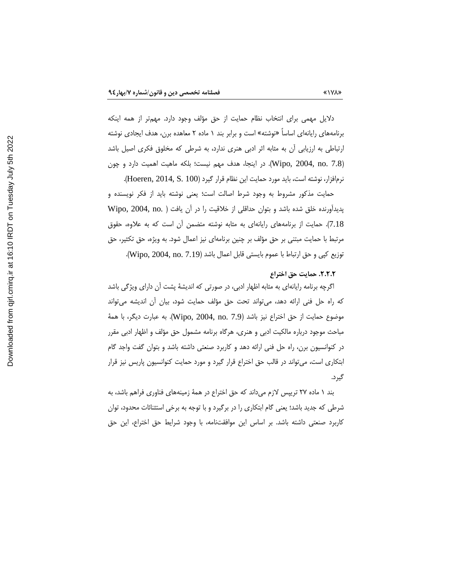دلایل مهمی برای انتخاب نظام حمایت از حق مؤلف وجود دارد. مهمتر از همه اینکه برنامههای رایانهای اساسا «نوشته» است و برابر بند ۱ ماده ۲ معاهده برن، هدف ایجادی نوشته ارتباطی به ارزیابی آن به مثابه اثر ادبی هنری ندارد، به شرطی که مخلوق فکری اصیل باشد (Wipo, 2004, no. 7.8). در اینجا، هدف مهم نیست؛ بلکه ماهیت اهمیت دارد و چون نرم|فزار، نوشته است، بايد مورد حمايت اين نظام قرار گيرد (Hoeren, 2014, S. 100).

حمایت مذکور مشروط به وجود شرط اصالت است؛ یعنی نوشته باید از فکر نویسنده و پدیداورنده خلق شده باشد و بتوان حداقلی از خلاقیت را در آن یافت ( .Wipo, 2004, no 7.18). حمایت از برنامههای رایانهای به مثابه نوشته متضمن آن است که به علاوه، حقوق مرتبط با حمایت مبتنی بر حق مؤلف بر چنین برنامهای نیز اعمال شود. به ویژه، حق تکثیر، حق توزيع كپي و حق ارتباط با عموم بايستي قابل اعمال باشد (Wipo, 2004, no. 7.19).

# ٢.٢.٢. حمايت حق اختراع

اگرچه برنامه رایانهای به مثابه اظهار ادبی، در صورتی که اندیشهٔ پشت آن دارای ویژگی باشد که راه حل فنی ارائه دهد، می¤واند تحت حق مؤلف حمایت شود، بیان اُن اندیشه می¤واند موضوع حمايت از حق اختراع نيز باشد (Wipo, 2004, no. 7.9). به عبارت ديگر، با همهٔ مباحث موجود درباره مالکیت ادبی و هنری، هرگاه برنامه مشمول حق مؤلف و اظهار ادبی مقرر در کنوانسیون برن، راه حل فنی ارائه دهد و کاربرد صنعتی داشته باشد و بتوان گفت واجد گام ابتکاری است، می تواند در قالب حق اختراع قرار گیرد و مورد حمایت کنوانسیون پاریس نیز قرار گيرد.

بند ۱ ماده ۲۷ تریپس لازم میداند که حق اختراع در همهٔ زمینههای فناوری فراهم باشد، به شرطی که جدید باشد؛ یعنی گام ابتکاری را در برگیرد و با توجه به برخی استثنائات محدود، توان كاربرد صنعتى داشته باشد. بر اساس اين موافقتنامه، با وجود شرايط حق اختراع، اين حق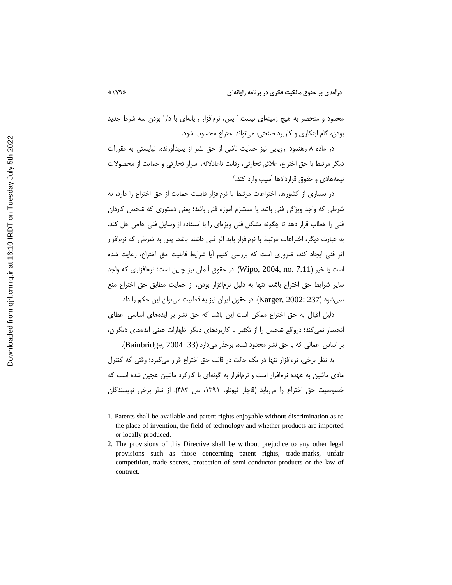محدود و منحصر به هیچ زمینهای نیست.` پس، نرمافزار رایانهای با دارا بودن سه شرط جدید بودن، گام ابتکاری و کاربرد صنعتی، میتواند اختراع محسوب شود.

در ماده ۸ رهنمود اروپایی نیز حمایت ناشی از حق نشر از پدیدآورنده، نبایستی به مقررات دیگر مرتبط با حق اختراع، علائم تجارتی، رقابت ناعادلانه، اسرار تجارتی و حمایت از محصولات نیمههادی و حقوق قراردادها آسیب وارد کند.۲

در بسیاری از کشورها، اختراعات مرتبط با نرمافزار قابلیت حمایت از حق اختراع را دارد، به شرطی که واجد ویژگی فنی باشد یا مستلزم آموزه فنی باشد؛ یعنی دستوری که شخص کاردان فنی را خطاب قرار دهد تا چگونه مشکل فنی ویژهای را با استفاده از وسایل فنی خاص حل کند. به عبارت دیگر، اختراعات مرتبط با نرمافزار باید اثر فنی داشته باشد. پس به شرطی که نرمافزار اثر فنی ایجاد کند، ضروری است که بررسی کنیم آیا شرایط قابلیت حق اختراع، رعایت شده است يا خير (Wipo, 2004, no. 7.11). در حقوق آلمان نيز چنين است؛ نرمافزاري كه واجد سایر شرایط حق اختراع باشد، تنها به دلیل نرمافزار بودن، از حمایت مطابق حق اختراع منع نمي شود (Karger, 2002: 237). در حقوق ايران نيز به قطعيت مي توان اين حكم را داد.

دلیل اقبال به حق اختراع ممکن است این باشد که حق نشر بر ایدههای اساسی اعطای انحصار نمی کند؛ درواقع شخص را از تکثیر یا کاربردهای دیگر اظهارات عینی ایدههای دیگران،

بر اساس اعمالی که با حق نشر محدود شده، برحذر می دارد (Bainbridge, 2004: 33). به نظر برخی، نرمافزار تنها در یک حالت در قالب حق اختراع قرار می گیرد؛ وقتی که کنترل مادی ماشین به عهده نرمافزار است و نرمافزار به گونهای با کارکرد ماشین عجین شده است که خصوصیت حق اختراع را می یابد (قاجار قیونلو، ۱۳۹۱، ص ۴۸۳). از نظر برخی نویسندگان

<sup>1.</sup> Patents shall be available and patent rights enjoyable without discrimination as to the place of invention, the field of technology and whether products are imported or locally produced.

<sup>2.</sup> The provisions of this Directive shall be without prejudice to any other legal provisions such as those concerning patent rights, trade-marks, unfair competition, trade secrets, protection of semi-conductor products or the law of contract.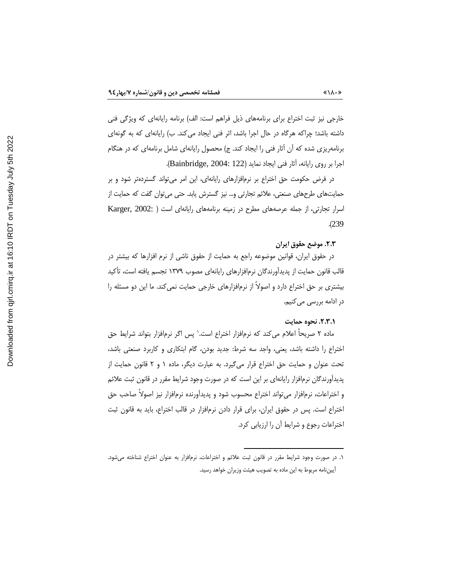خارجی نیز ثبت اختراع برای برنامههای ذیل فراهم است: الف) برنامه رایانهای که ویژگی فنی داشته باشد؛ چراکه هرگاه در حال اجرا باشد، اثر فنی ایجاد می کند. ب) رایانهای که به گونهای برنامهریزی شده که آن آثار فنی را ایجاد کند. ج) محصول رایانهای شامل برنامهای که در هنگام اجرا بر روى رايانه، آثار فني ايجاد نمايد (Bainbridge, 2004: 122).

در فرض حکومت حق اختراع بر نرم|فزارهای رایانهای، این امر می¤واند گستردهتر شود و بر حمایتهای طرحهای صنعتی، علائم تجارتی و… نیز گسترش یابد. حتی می¤وان گفت که حمایت از اسرار تجارتی، از جمله عرصههای مطرح در زمینه برنامههای رایانهای است ( :Karger, 2002  $. (239)$ 

# ٢.٣. موضع حقوق ايران

در حقوق ایران، قوانین موضوعه راجع به حمایت از حقوق ناشی از نرم افزارها که بیشتر در قالب قانون حمایت از پدیدآورندگان نرمافزارهای رایانهای مصوب ۱۳۷۹ تجسم یافته است، تأکید بیشتری بر حق اختراع دارد و اصولاً از نرمافزارهای خارجی حمایت نمی کند. ما این دو مسئله را در ادامه بررسی میکنیم.

#### ٢.٣.١. نحوه حمايت

ماده ۲ صریحاً اعلام می کند که نرمافزار اختراع است.' پس اگر نرمافزار بتواند شرایط حق اختراع را داشته باشد، یعنی، واجد سه شرط: جدید بودن، گام ابتکاری و کاربرد صنعتی باشد، تحت عنوان و حمایت حق اختراع قرار میگیرد. به عبارت دیگر، ماده ۱ و ۲ قانون حمایت از یدیدآورندگان نرمافزار رایانهای بر این است که در صورت وجود شرایط مقرر در قانون ثبت علائم و اختراعات، نرمافزار می تواند اختراع محسوب شود و پدیدآورنده نرمافزار نیز اصولاً صاحب حق اختراع است. پس در حقوق ایران، برای قرار دادن نرمافزار در قالب اختراع، باید به قانون ثبت اختراعات رجوع و شرایط آن را ارزیابی کرد.

۱. در صورت وجود شرایط مقرر در قانون ثبت علائم و اختراعات، نرمافزار به عنوان اختراع شناخته میشود. أييننامه مربوط به اين ماده به تصويب هيئت وزيران خواهد رسيد.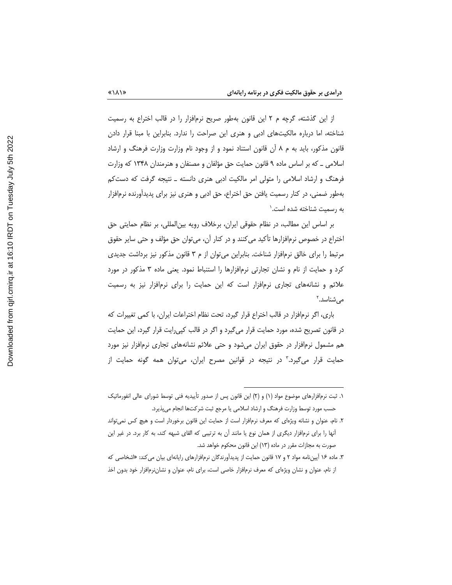از این گذشته، گرچه م ۲ این قانون بهطور صریح نرمافزار را در قالب اختراع به رسمیت شناخته، اما درباره مالکیتهای ادبی و هنری این صراحت را ندارد. بنابراین با مبنا قرار دادن قانون مذکور، باید به م ۸ ان قانون استناد نمود و از وجود نام وزارت وزارت فرهنگ و ارشاد اسلامی ــ که بر اساس ماده ۹ قانون حمایت حق مؤلفان و مصنفان و هنرمندان ۱۳۴۸ که وزارت فرهنگ و ارشاد اسلامی را متولی امر مالکیت ادبی هنری دانسته ـ نتیجه گرفت که دستکم بهطور ضمنی، در کنار رسمیت یافتن حق اختراع، حق ادبی و هنری نیز برای پدیدآورنده نرم|فزار به رسمیت شناخته شده است.<sup>۱</sup>

بر اساس این مطالب، در نظام حقوقی ایران، برخلاف رویه بین|لمللی، بر نظام حمایتی حق اختراع در خصوص نرم|فزارها تأكيد مي كنند و در كنار آن، مي¤وان حق مؤلف و حتى ساير حقوق مرتبط را برای خالق نرمافزار شناخت. بنابراین می توان از م ۳ قانون مذکور نیز برداشت جدیدی کرد و حمایت از نام و نشان تجارتی نرمافزارها را استنباط نمود. یعنی ماده ۳ مذکور در مورد علائم و نشانههای تجاری نرمافزار است که این حمایت را برای نرمافزار نیز به رسمیت می شناسد.<sup>۲</sup>

باری، اگر نرمافزار در قالب اختراع قرار گیرد، تحت نظام اختراعات ایران، با کمی تغییرات که در قانون تصریح شده، مورد حمایت قرار میگیرد و اگر در قالب کپی رایت قرار گیرد، این حمایت هم مشمول نرمافزار در حقوق ایران میشود و حتی علائم نشانههای تجاری نرمافزار نیز مورد حمایت قرار میگیرد.<sup>۳</sup> در نتیجه در قوانین مصرح ایران، میتوان همه گونه حمایت از

۱. ثبت نرمافزارهای موضوع مواد (۱) و (۲) این قانون پس از صدور تأییدیه فنی توسط شورای عالی انفورماتیک حسب مورد توسط وزارت فرهنگ و ارشاد اسلامی یا مرجع ثبت شرکتها انجام می پذیرد.

۲. نام، عنوان و نشانه ویژهای که معرف نرمافزار است از حمایت این قانون برخوردار است و هیچ کس نمی تواند آنها را برای نرمافزار دیگری از همان نوع یا مانند آن به ترتیبی که القای شبهه کند، به کار برد. در غیر این صورت به مجازات مقرر در ماده (۱۳) این قانون محکوم خواهد شد.

۳. ماده ۱۶ آییننامه مواد ۲ و ۱۷ قانون حمایت از پدیدآورندگان نرمافزارهای رایانهای بیان می کند: «اشخاصی که از نام، عنوان و نشان ویژهای که معرف نرمافزار خاصی است، برای نام، عنوان و نشانِ زمافزار خود بدون اخذ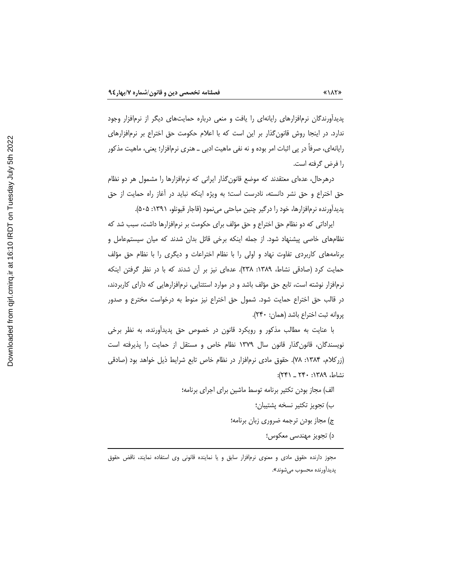پدیدآورندگان نرمافزارهای رایانهای را یافت و منعی درباره حمایتهای دیگر از نرمافزار وجود ندارد. در اینجا روش قانون گذار بر این است که با اعلام حکومت حق اختراع بر نرمافزارهای رایانهای، صرفاً در پی اثبات امر بوده و نه نفی ماهیت ادبی \_ هنری نرمافزار؛ یعنی، ماهیت مذکور را فرض گرفته است.

درهرحال، عدهای معتقدند که موضع قانون گذار ایرانی که نرمافزارها را مشمول هر دو نظام حق اختراع و حق نشر دانسته، نادرست است؛ به ویژه اینکه نباید در آغاز راه حمایت از حق پدیدآورنده نرمافزارها، خود را درگیر چنین مباحثی مینمود (قاجار قیونلو، ۱۳۹۱: ۵۰۵).

ایراداتی که دو نظام حق اختراع و حق مؤلف برای حکومت بر نرمافزارها داشت، سبب شد که نظامهای خاصی پیشنهاد شود. از جمله اینکه برخی قائل بدان شدند که میان سیستمعامل و برنامههای کاربردی تفاوت نهاد و اولی را با نظام اختراعات و دیگری را با نظام حق مؤلف حمایت کرد (صادقی نشاط، ۱۳۸۹: ۲۳۸). عدهای نیز بر آن شدند که با در نظر گرفتن اینکه نرمافزار نوشته است، تابع حق مؤلف باشد و در موارد استثنایی، نرمافزارهایی که دارای کاربردند، در قالب حق اختراع حمایت شود. شمول حق اختراع نیز منوط به درخواست مخترع و صدور پروانه ثبت اختراع باشد (همان: ٢۴٠).

با عنایت به مطالب مذکور و رویکرد قانون در خصوص حق پدیدأورنده، به نظر برخی نویسندگان، قانون گذار قانون سال ۱۳۷۹ نظام خاص و مستقل از حمایت را پذیرفته است (زرکلام، ۱۳۸۴: ۷۸). حقوق مادی نرمافزار در نظام خاص تابع شرایط ذیل خواهد بود (صادقی نشاط، ١٣٨٩: ٢٤٠ \_ ٢٤١):

> الف) مجاز بودن تكثير برنامه توسط ماشين براي اجراي برنامه؛ ب) تجويز تكثير نسخه پشتيبان؛ ج) مجاز بودن ترجمه ضروری زبان برنامه؛ د) تجويز مهندسي معكوس؛

مجوز دارنده حقوق مادی و معنوی نرمافزار سابق و یا نماینده قانونی وی استفاده نمایند، ناقض حقوق پديداورنده محسوب ميشوند».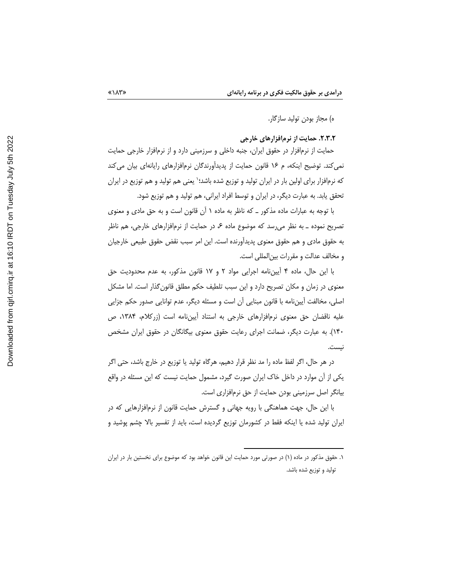ه) مجاز بودن توليد سازگار.

۲.۳.۲. حمایت از نرمافزارهای خارجی

حمایت از نرمافزار در حقوق ایران، جنبه داخلی و سرزمینی دارد و از نرمافزار خارجی حمایت نمی کند. توضیح اینکه، م ۱۶ قانون حمایت از پدیدآورندگان نرمافزارهای رایانهای بیان می کند که نرمافزار برای اولین بار در ایران تولید و توزیع شده باشد؛٬ یعنی هم تولید و هم توزیع در ایران تحقق يابد. به عبارت ديگر، در ايران و توسط افراد ايراني، هم توليد و هم توزيع شود.

با توجه به عبارات ماده مذکور \_ که ناظر به ماده ۱ آن قانون است و به حق مادی و معنوی تصریح نموده \_ به نظر می رسد که موضوع ماده ۶، در حمایت از نرمافزارهای خارجی، هم ناظر به حقوق مادی و هم حقوق معنوی پدیدآورنده است. این امر سبب نقض حقوق طبیعی خارجیان و مخالف عدالت و مقررات بین|لمللی است.

با این حال، ماده ۴ اَیینiامه اجرایی مواد ۲ و ۱۷ قانون مذکور، به عدم محدودیت حق معنوی در زمان و مکان تصریح دارد و این سبب تلطیف حکم مطلق قانون گذار است. اما مشکل اصلي، مخالفت آيين،نامه با قانون مبنايي آن است و مسئله ديگر، عدم توانايي صدور حكم جزايي علیه ناقضان حق معنوی نرمافزارهای خارجی به استناد أییننامه است (زرکلام، ۱۳۸۴، ص ۱۴۰). به عبارت دیگر، ضمانت اجرای رعایت حقوق معنوی بیگانگان در حقوق ایران مشخص نيست.

در هر حال، اگر لفظ ماده را مد نظر قرار دهیم، هرگاه تولید یا توزیع در خارج باشد، حتی اگر یکی از آن موارد در داخل خاک ایران صورت گیرد، مشمول حمایت نیست که این مسئله در واقع بیانگر اصل سرزمینی بودن حمایت از حق نرمافزاری است.

با این حال، جهت هماهنگی با رویه جهانی و گسترش حمایت قانون از نرمافزارهایی که در ایران تولید شده یا اینکه فقط در کشورمان توزیع گردیده است، باید از تفسیر بالا چشم پوشید و

۱. حقوق مذکور در ماده (۱) در صورتی مورد حمایت این قانون خواهد بود که موضوع برای نخستین بار در ایران تولید و توزیع شده باشد.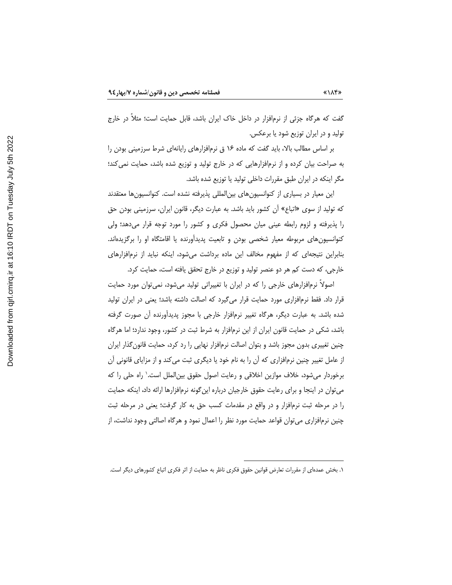گفت که هرگاه جزئی از نرمافزار در داخل خاک ایران باشد، قابل حمایت است؛ مثلاً در خارج تولید و در ایران توزیع شود یا برعکس.

بر اساس مطالب بالا، باید گفت که ماده ۱۶ ق نرمافزارهای رایانهای شرط سرزمینی بودن را به صراحت بیان کرده و از نرمافزارهایی که در خارج تولید و توزیع شده باشد، حمایت نمی کند؛ مگر اینکه در ایران طبق مقررات داخلی تولید یا توزیع شده باشد.

این معیار در بسیاری از کنوانسیون های بین|لمللی پذیرفته نشده است. کنوانسیون ها معتقدند که تولید از سوی «اتباع» ان کشور باید باشد. به عبارت دیگر، قانون ایران، سرزمینی بودن حق را پذیرفته و لزوم رابطه عینی میان محصول فکری و کشور را مورد توجه قرار میدهد؛ ولی کنوانسیونهای مربوطه معیار شخصی بودن و تابعیت پدیدآورنده یا اقامتگاه او را برگزیدهاند. بنابراین نتیجهای که از مفهوم مخالف این ماده برداشت میشود، اینکه نباید از نرمافزارهای خارجی، که دست کم هر دو عنصر تولید و توزیع در خارج تحقق یافته است، حمایت کرد.

اصولاً نرمافزارهای خارجی را که در ایران با تغییراتی تولید میشود، نمی توان مورد حمایت قرار داد. فقط نرمافزاری مورد حمایت قرار میگیرد که اصالت داشته باشد؛ یعنی در ایران تولید شده باشد. به عبارت دیگر، هرگاه تغییر نرمافزار خارجی با مجوز پدیدأورنده أن صورت گرفته باشد، شکی در حمایت قانون ایران از این نرمافزار به شرط ثبت در کشور، وجود ندارد؛ اما هرگاه چنین تغییری بدون مجوز باشد و بتوان اصالت نرمافزار نهایی را رد کرد، حمایت قانون گذار ایران از عامل تغییر چنین نرمافزاری که ان را به نام خود یا دیگری ثبت می کند و از مزایای قانونی ان برخوردار میشود، خلاف موازین اخلاقی و رعایت اصول حقوق بین|لملل است.' راه حلی را که می¤وان در اینجا و برای رعایت حقوق خارجیان درباره این گونه نرمافزارها ارائه داد، اینکه حمایت را در مرحله ثبت نرمافزار و در واقع در مقدمات کسب حق به کار گرفت؛ یعنی در مرحله ثبت چنین نرمافزاری میتوان قواعد حمایت مورد نظر را اعمال نمود و هرگاه اصالتی وجود نداشت، از

۱. بخش عمدهای از مقررات تعارض قوانین حقوق فکری ناظر به حمایت از اثر فکری اتباع کشورهای دیگر است.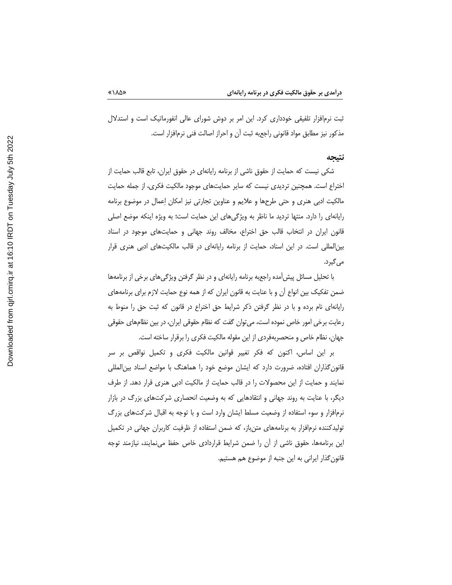ثبت نرمافزار تلفیقی خودداری کرد. این امر بر دوش شورای عالی انفورماتیک است و استدلال مذكور نيز مطابق مواد قانوني راجعبه ثبت آن و احراز اصالت فني نرمافزار است.

#### نتيجه

شکی نیست که حمایت از حقوق ناشی از برنامه رایانهای در حقوق ایران، تابع قالب حمایت از اختراع است. همچنین تردیدی نیست که سایر حمایتهای موجود مالکیت فکری، از جمله حمایت مالکیت ادبی هنری و حتی طرحها و علایم و عناوین تجارتی نیز امکان اِعمال در موضوع برنامه رایانهای را دارد. منتها تردید ما ناظر به ویژگیهای این حمایت است؛ به ویژه اینکه موضع اصلی قانون ایران در انتخاب قالب حق اختراع، مخالف روند جهانی و حمایتهای موجود در اسناد بین|لمللی است. در این اسناد، حمایت از برنامه رایانهای در قالب مالکیتهای ادبی هنری قرار می گیرد.

با تحلیل مسائل پیشآمده راجعبه برنامه رایانهای و در نظر گرفتن ویژگیهای برخی از برنامهها ضمن تفکیک بین انواع آن و با عنایت به قانون ایران که از همه نوع حمایت لازم برای برنامههای رایانهای نام برده و با در نظر گرفتن ذکر شرایط حق اختراع در قانون که ثبت حق را منوط به رعایت برخی امور خاص نموده است، می توان گفت که نظام حقوقی ایران، در بین نظامهای حقوقی جهان، نظام خاص و منحصربهفردی از این مقوله مالکیت فکری را برقرار ساخته است.

بر این اساس، اکنون که فکر تغییر قوانین مالکیت فکری و تکمیل نواقص بر سر قانون گذاران افتاده، ضرورت دارد که ایشان موضع خود را هماهنگ با مواضع اسناد بین|لمللی نمایند و حمایت از این محصولات را در قالب حمایت از مالکیت ادبی هنری قرار دهد. از طرف دیگر، با عنایت به روند جهانی و انتقادهایی که به وضعیت انحصاری شرکتهای بزرگ در بازار نرمافزار و سوء استفاده از وضعیت مسلط ایشان وارد است و با توجه به اقبال شرکتهای بزرگ تولیدکننده نرمافزار به برنامههای متن باز، که ضمن استفاده از ظرفیت کاربران جهانی در تکمیل این برنامهها، حقوق ناشی از آن را ضمن شرایط قراردادی خاص حفظ مینمایند، نیازمند توجه قانون گذار ایرانی به این جنبه از موضوع هم هستیم.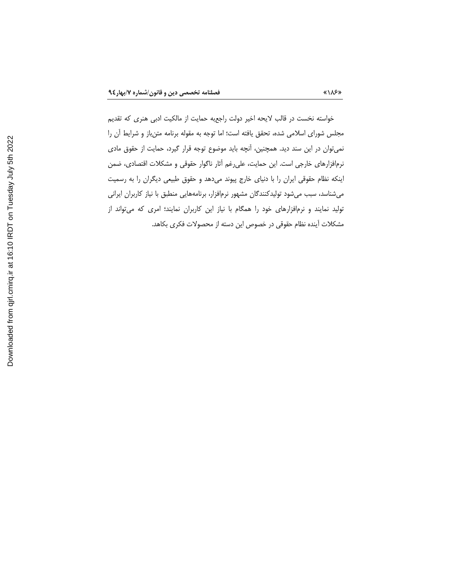خواسته نخست در قالب لایحه اخیر دولت راجعبه حمایت از مالکیت ادبی هنری که تقدیم مجلس شورای اسلامی شده، تحقق یافته است؛ اما توجه به مقوله برنامه متنباز و شرایط آن را نمی توان در این سند دید. همچنین، آنچه باید موضوع توجه قرار گیرد، حمایت از حقوق مادی نرمافزارهای خارجی است. این حمایت، علیرغم أثار ناگوار حقوقی و مشکلات اقتصادی، ضمن ینکه نظام حقوقی ایران را با دنیای خارج پیوند میدهد و حقوق طبیعی دیگران را به رسمیت  $\overline{\phantom{a}}$ میشناسد، سبب میشود تولیدکنندگان مشهور نرمافزار، برنامههایی منطبق با نیاز کاربران ایرانی تولید نمایند و نرمافزارهای خود را همگام با نیاز این کاربران نمایند؛ امری که میتواند از مشكلات آينده نظام حقوقى در خصوص اين دسته از محصولات فكرى بكاهد.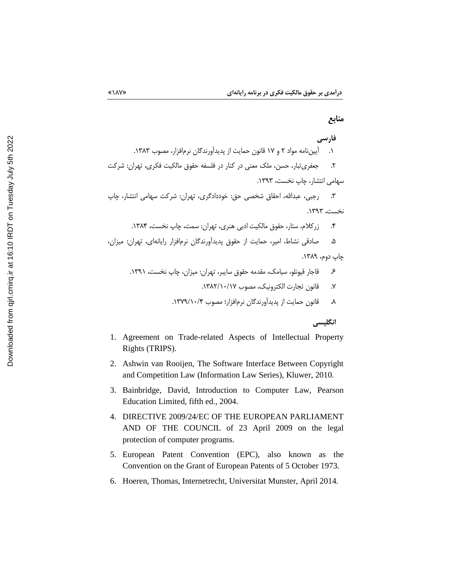# منابع

# فارسي

١. [یینiامه مواد ٢ و ١٧ قانون حمایت از پدیدآورندگان نرمافزار، مصوب ١٣٨٣.

۲. هجفری تبار، حسن، ملک معنی در کنار در فلسفه حقوق مالکیت فکری، تهران: شرکت سهامی انتشار، چاپ نخست، ۱۳۹۳.

۳. درجبی، عبدالله، احقاق شخصی حق: خوددادگری، تهران: شرکت سهامی انتشار، چاپ نخست، ١٣٩٣.

زر كلام، ستار، حقوق مالكيت ادبي هنري، تهران: سمت، چاپ نخست، ١٣٨۴.  $\cdot$ 

صادقی نشاط، امیر، حمایت از حقوق پدیدآورندگان نرمافزار رایانهای، تهران: میزان، ۵. چاپ دوم، ۱۳۸۹.

انگليسي

- 1. Agreement on Trade-related Aspects of Intellectual Property Rights (TRIPS).
- 2. Ashwin van Rooijen, The Software Interface Between Copyright and Competition Law (Information Law Series), Kluwer, 2010.
- 3. Bainbridge, David, Introduction to Computer Law, Pearson Education Limited, fifth ed., 2004.
- 4. DIRECTIVE 2009/24/EC OF THE EUROPEAN PARLIAMENT AND OF THE COUNCIL of 23 April 2009 on the legal protection of computer programs.
- 5. European Patent Convention (EPC), also known as the Convention on the Grant of European Patents of 5 October 1973.
- 6. Hoeren, Thomas, Internetrecht, Universitat Munster, April 2014.